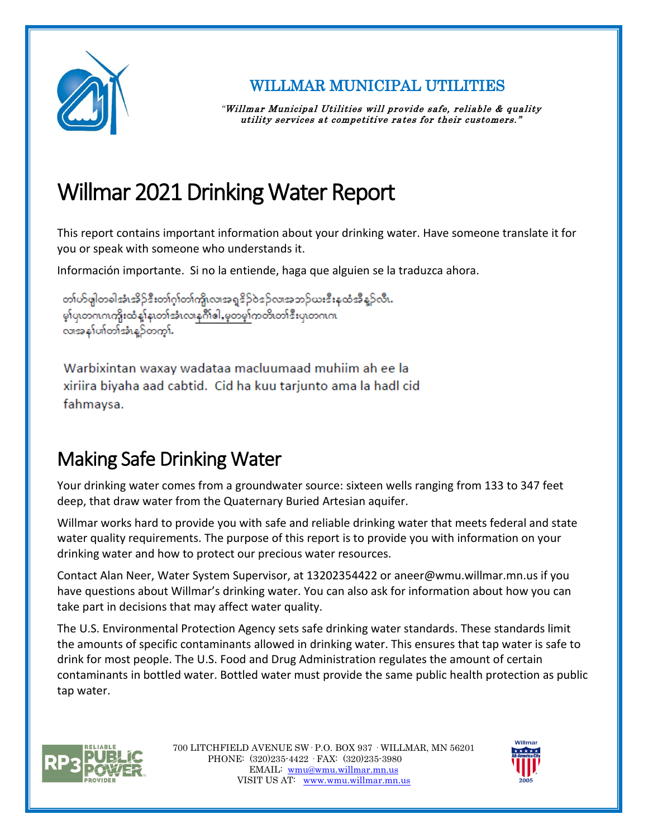

WILLMAR MUNICIPAL UTILITIES

"Willmar Municipal Utilities will provide safe, reliable & quality utility services at competitive rates for their customers."

# Willmar 2021 Drinking Water Report

This report contains important information about your drinking water. Have someone translate it for you or speak with someone who understands it.

Información importante. Si no la entiende, haga que alguien se la traduzca ahora.

တၢဴဟ်ဖျါတခါအံၤအိဉ်ဒီးတၢဴဂူၢ်တၢဴက္ပိုလၢအရှုဒိဉ်ဝဲဒဉ်လ၊အဘဉ်ယးဒီးနထံအီနဉ်လီ၊. မှာ်ပု၊တဂၤဂၤကိုးထံနှုံန၊တၢ်အံၤလ၊နဂ်ိဳ၊ေါ,မှတမှာ်ကတိ၊တၢ်ဒီးပု၊တဂၤဂ၊ လာအနှုပ်၏တာ်အီးနည်တကွာ်.

Warbixintan waxay wadataa macluumaad muhiim ah ee la xiriira biyaha aad cabtid. Cid ha kuu tarjunto ama la hadl cid fahmaysa.

# Making Safe Drinking Water

Your drinking water comes from a groundwater source: sixteen wells ranging from 133 to 347 feet deep, that draw water from the Quaternary Buried Artesian aquifer.

Willmar works hard to provide you with safe and reliable drinking water that meets federal and state water quality requirements. The purpose of this report is to provide you with information on your drinking water and how to protect our precious water resources.

Contact Alan Neer, Water System Supervisor, at 13202354422 or aneer@wmu.willmar.mn.us if you have questions about Willmar's drinking water. You can also ask for information about how you can take part in decisions that may affect water quality.

The U.S. Environmental Protection Agency sets safe drinking water standards. These standards limit the amounts of specific contaminants allowed in drinking water. This ensures that tap water is safe to drink for most people. The U.S. Food and Drug Administration regulates the amount of certain contaminants in bottled water. Bottled water must provide the same public health protection as public tap water.



700 LITCHFIELD AVENUE SW· P.O. BOX 937 · WILLMAR, MN 56201 PHONE: (320)235-4422 · FAX: (320)235-3980 EMAIL: [wmu@wmu.willmar.mn.us](mailto:wmu@wmu.willmar.mn.us)  VISIT US AT: [www.wmu.willmar.mn.us](http://www.wmu.willmar.mn.us/)

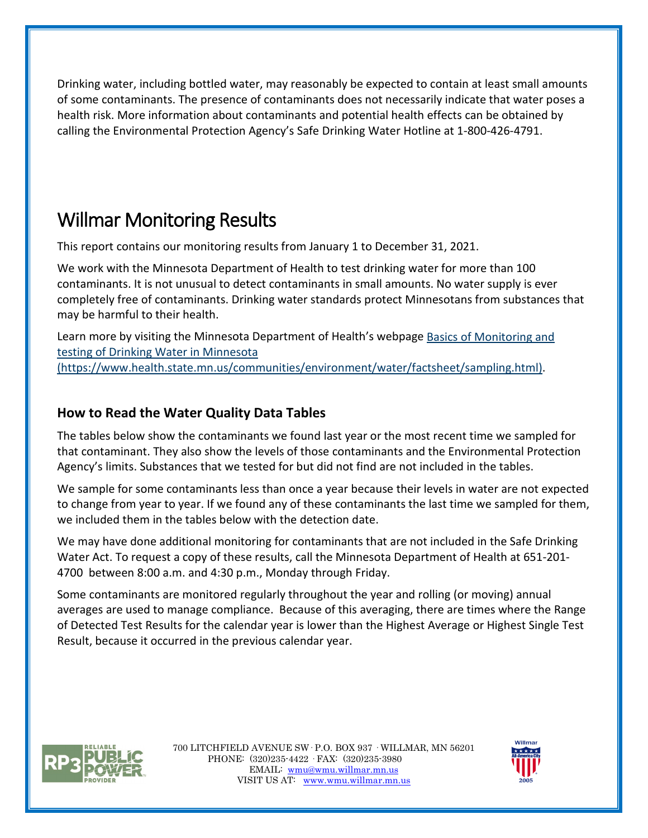Drinking water, including bottled water, may reasonably be expected to contain at least small amounts of some contaminants. The presence of contaminants does not necessarily indicate that water poses a health risk. More information about contaminants and potential health effects can be obtained by calling the Environmental Protection Agency's Safe Drinking Water Hotline at 1-800-426-4791.

## Willmar Monitoring Results

This report contains our monitoring results from January 1 to December 31, 2021.

We work with the Minnesota Department of Health to test drinking water for more than 100 contaminants. It is not unusual to detect contaminants in small amounts. No water supply is ever completely free of contaminants. Drinking water standards protect Minnesotans from substances that may be harmful to their health.

Learn more by visiting the Minnesota Department of Health's webpage [Basics of Monitoring and](https://www.health.state.mn.us/communities/environment/water/factsheet/sampling.html)  [testing of Drinking Water in Minnesota](https://www.health.state.mn.us/communities/environment/water/factsheet/sampling.html)  [\(https://www.health.state.mn.us/communities/environment/water/factsheet/sampling.html\).](https://www.health.state.mn.us/communities/environment/water/factsheet/sampling.html)

#### **How to Read the Water Quality Data Tables**

The tables below show the contaminants we found last year or the most recent time we sampled for that contaminant. They also show the levels of those contaminants and the Environmental Protection Agency's limits. Substances that we tested for but did not find are not included in the tables.

We sample for some contaminants less than once a year because their levels in water are not expected to change from year to year. If we found any of these contaminants the last time we sampled for them, we included them in the tables below with the detection date.

We may have done additional monitoring for contaminants that are not included in the Safe Drinking Water Act. To request a copy of these results, call the Minnesota Department of Health at 651-201- 4700 between 8:00 a.m. and 4:30 p.m., Monday through Friday.

Some contaminants are monitored regularly throughout the year and rolling (or moving) annual averages are used to manage compliance. Because of this averaging, there are times where the Range of Detected Test Results for the calendar year is lower than the Highest Average or Highest Single Test Result, because it occurred in the previous calendar year.



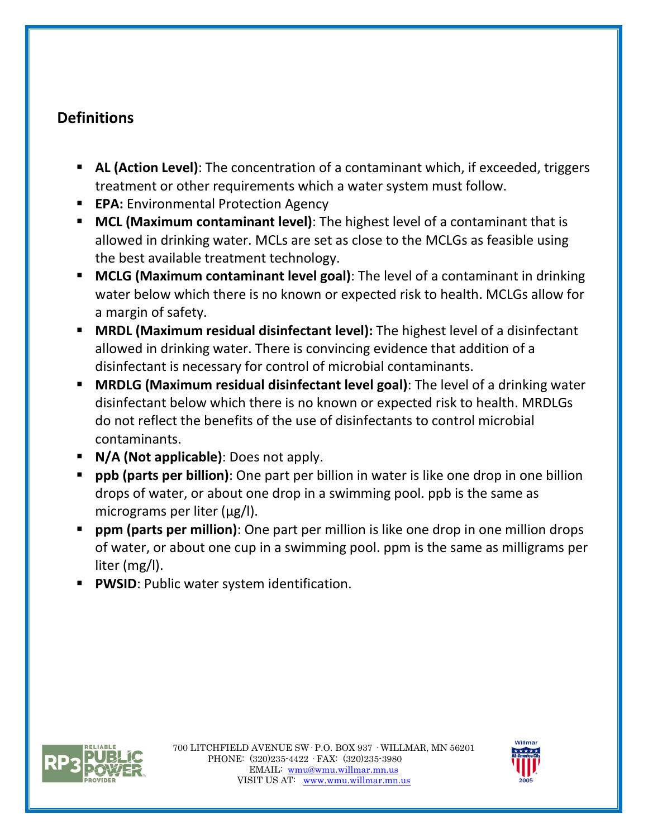### **Definitions**

- **AL (Action Level)**: The concentration of a contaminant which, if exceeded, triggers treatment or other requirements which a water system must follow.
- **EPA:** Environmental Protection Agency
- **MCL (Maximum contaminant level)**: The highest level of a contaminant that is allowed in drinking water. MCLs are set as close to the MCLGs as feasible using the best available treatment technology.
- **MCLG (Maximum contaminant level goal)**: The level of a contaminant in drinking water below which there is no known or expected risk to health. MCLGs allow for a margin of safety.
- **MRDL (Maximum residual disinfectant level):** The highest level of a disinfectant allowed in drinking water. There is convincing evidence that addition of a disinfectant is necessary for control of microbial contaminants.
- **MRDLG (Maximum residual disinfectant level goal)**: The level of a drinking water disinfectant below which there is no known or expected risk to health. MRDLGs do not reflect the benefits of the use of disinfectants to control microbial contaminants.
- **N/A (Not applicable)**: Does not apply.
- **ppb (parts per billion)**: One part per billion in water is like one drop in one billion drops of water, or about one drop in a swimming pool. ppb is the same as micrograms per liter (μg/l).
- **ppm (parts per million)**: One part per million is like one drop in one million drops of water, or about one cup in a swimming pool. ppm is the same as milligrams per liter (mg/l).
- **PWSID: Public water system identification.**



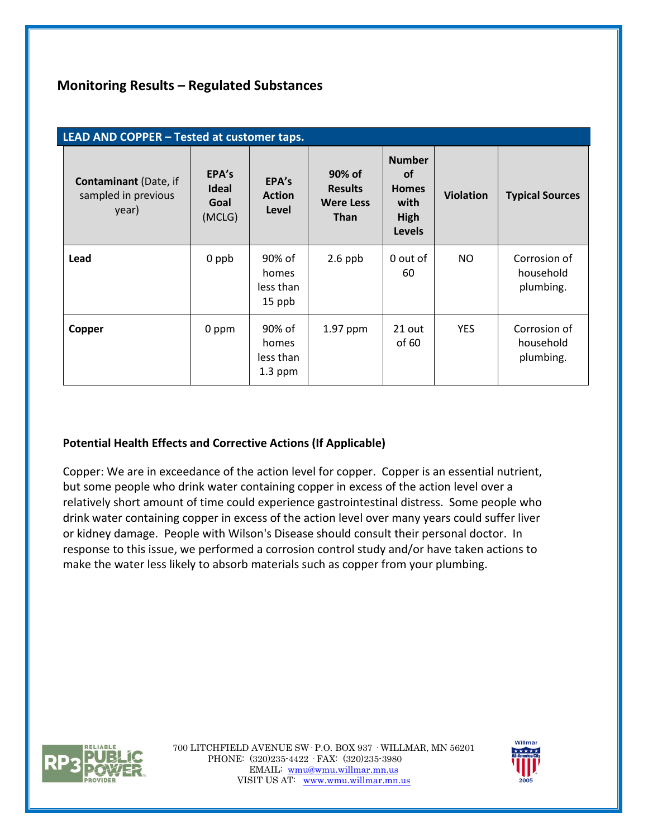#### **Monitoring Results – Regulated Substances**

| LEAD AND COPPER - Tested at customer taps.                   |                                         |                                           |                                                             |                                                                             |                  |                                        |  |
|--------------------------------------------------------------|-----------------------------------------|-------------------------------------------|-------------------------------------------------------------|-----------------------------------------------------------------------------|------------------|----------------------------------------|--|
| <b>Contaminant</b> (Date, if<br>sampled in previous<br>year) | EPA's<br><b>Ideal</b><br>Goal<br>(MCLG) | EPA's<br><b>Action</b><br>Level           | 90% of<br><b>Results</b><br><b>Were Less</b><br><b>Than</b> | <b>Number</b><br><b>of</b><br><b>Homes</b><br>with<br>High<br><b>Levels</b> | <b>Violation</b> | <b>Typical Sources</b>                 |  |
| Lead                                                         | 0 ppb                                   | 90% of<br>homes<br>less than<br>15 ppb    | $2.6$ ppb                                                   | 0 out of<br>60                                                              | NO.              | Corrosion of<br>household<br>plumbing. |  |
| Copper                                                       | 0 ppm                                   | 90% of<br>homes<br>less than<br>$1.3$ ppm | 1.97 ppm                                                    | 21 out<br>of 60                                                             | <b>YES</b>       | Corrosion of<br>household<br>plumbing. |  |

#### **Potential Health Effects and Corrective Actions (If Applicable)**

Copper: We are in exceedance of the action level for copper. Copper is an essential nutrient, but some people who drink water containing copper in excess of the action level over a relatively short amount of time could experience gastrointestinal distress. Some people who drink water containing copper in excess of the action level over many years could suffer liver or kidney damage. People with Wilson's Disease should consult their personal doctor. In response to this issue, we performed a corrosion control study and/or have taken actions to make the water less likely to absorb materials such as copper from your plumbing.



700 LITCHFIELD AVENUE SW· P.O. BOX 937 · WILLMAR, MN 56201 PHONE: (320)235-4422 · FAX: (320)235-3980 EMAIL: [wmu@wmu.willmar.mn.us](mailto:wmu@wmu.willmar.mn.us)  VISIT US AT: [www.wmu.willmar.mn.us](http://www.wmu.willmar.mn.us/)

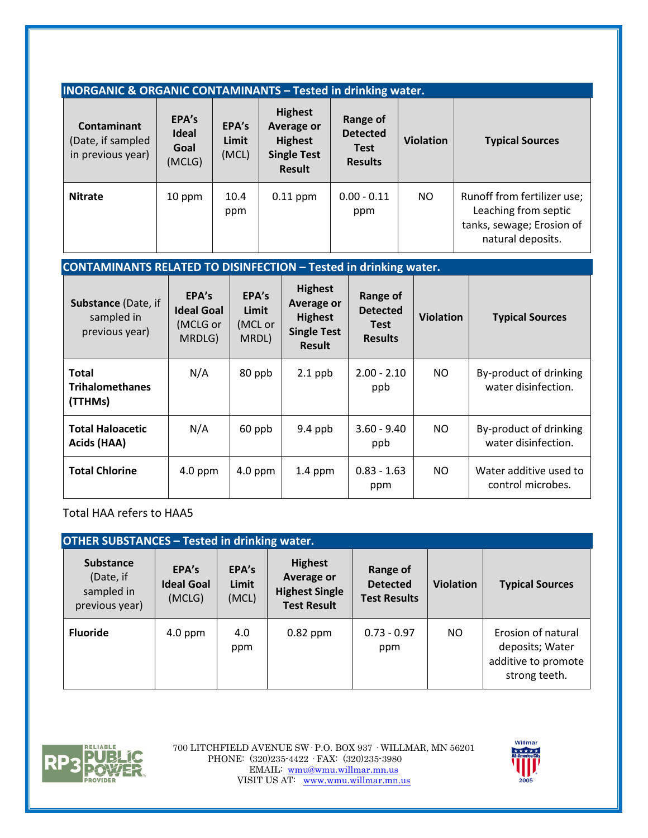| <b>INORGANIC &amp; ORGANIC CONTAMINANTS - Tested in drinking water.</b> |                                         |                         |                                                                                              |                                                              |                  |                                                                                                       |  |  |
|-------------------------------------------------------------------------|-----------------------------------------|-------------------------|----------------------------------------------------------------------------------------------|--------------------------------------------------------------|------------------|-------------------------------------------------------------------------------------------------------|--|--|
| Contaminant<br>(Date, if sampled<br>in previous year)                   | EPA's<br><b>Ideal</b><br>Goal<br>(MCLG) | EPA's<br>Limit<br>(MCL) | <b>Highest</b><br><b>Average or</b><br><b>Highest</b><br><b>Single Test</b><br><b>Result</b> | Range of<br><b>Detected</b><br><b>Test</b><br><b>Results</b> | <b>Violation</b> | <b>Typical Sources</b>                                                                                |  |  |
| <b>Nitrate</b>                                                          | 10 ppm                                  | 10.4<br>ppm             | $0.11$ ppm                                                                                   | $0.00 - 0.11$<br>ppm                                         | NO.              | Runoff from fertilizer use;<br>Leaching from septic<br>tanks, sewage; Erosion of<br>natural deposits. |  |  |

#### **CONTAMINANTS RELATED TO DISINFECTION – Tested in drinking water.**

| <b>Substance (Date, if</b><br>sampled in<br>previous year) | EPA's<br><b>Ideal Goal</b><br>(MCLG or<br>MRDLG) | EPA's<br>Limit<br>(MCL or<br>MRDL) | <b>Highest</b><br>Average or<br><b>Highest</b><br><b>Single Test</b><br><b>Result</b> | Range of<br><b>Detected</b><br><b>Test</b><br><b>Results</b> | <b>Violation</b> | <b>Typical Sources</b>                        |
|------------------------------------------------------------|--------------------------------------------------|------------------------------------|---------------------------------------------------------------------------------------|--------------------------------------------------------------|------------------|-----------------------------------------------|
| <b>Total</b><br><b>Trihalomethanes</b><br>(TTHMs)          | N/A                                              | 80 ppb                             | $2.1$ ppb                                                                             | $2.00 - 2.10$<br>ppb                                         | NO               | By-product of drinking<br>water disinfection. |
| <b>Total Haloacetic</b><br>Acids (HAA)                     | N/A                                              | 60 ppb                             | $9.4$ ppb                                                                             | $3.60 - 9.40$<br>ppb                                         | NO               | By-product of drinking<br>water disinfection. |
| <b>Total Chlorine</b>                                      | $4.0$ ppm                                        | $4.0$ ppm                          | $1.4$ ppm                                                                             | $0.83 - 1.63$<br>ppm                                         | NO.              | Water additive used to<br>control microbes.   |

Total HAA refers to HAA5

| <b>OTHER SUBSTANCES - Tested in drinking water.</b>           |                                      |                         |                                                                             |                                                    |                  |                                                                               |  |  |
|---------------------------------------------------------------|--------------------------------------|-------------------------|-----------------------------------------------------------------------------|----------------------------------------------------|------------------|-------------------------------------------------------------------------------|--|--|
| <b>Substance</b><br>(Date, if<br>sampled in<br>previous year) | EPA's<br><b>Ideal Goal</b><br>(MCLG) | EPA's<br>Limit<br>(MCL) | <b>Highest</b><br>Average or<br><b>Highest Single</b><br><b>Test Result</b> | Range of<br><b>Detected</b><br><b>Test Results</b> | <b>Violation</b> | <b>Typical Sources</b>                                                        |  |  |
| <b>Fluoride</b>                                               | $4.0$ ppm                            | 4.0<br>ppm              | $0.82$ ppm                                                                  | $0.73 - 0.97$<br>ppm                               | NO.              | Erosion of natural<br>deposits; Water<br>additive to promote<br>strong teeth. |  |  |



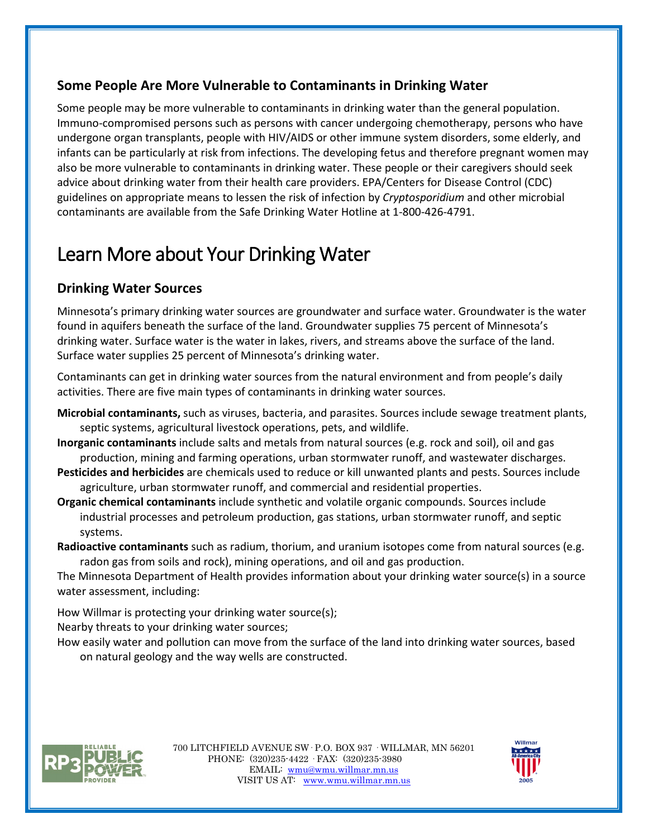#### **Some People Are More Vulnerable to Contaminants in Drinking Water**

Some people may be more vulnerable to contaminants in drinking water than the general population. Immuno-compromised persons such as persons with cancer undergoing chemotherapy, persons who have undergone organ transplants, people with HIV/AIDS or other immune system disorders, some elderly, and infants can be particularly at risk from infections. The developing fetus and therefore pregnant women may also be more vulnerable to contaminants in drinking water. These people or their caregivers should seek advice about drinking water from their health care providers. EPA/Centers for Disease Control (CDC) guidelines on appropriate means to lessen the risk of infection by *Cryptosporidium* and other microbial contaminants are available from the Safe Drinking Water Hotline at 1-800-426-4791.

# Learn More about Your Drinking Water

### **Drinking Water Sources**

Minnesota's primary drinking water sources are groundwater and surface water. Groundwater is the water found in aquifers beneath the surface of the land. Groundwater supplies 75 percent of Minnesota's drinking water. Surface water is the water in lakes, rivers, and streams above the surface of the land. Surface water supplies 25 percent of Minnesota's drinking water.

Contaminants can get in drinking water sources from the natural environment and from people's daily activities. There are five main types of contaminants in drinking water sources.

- **Microbial contaminants,** such as viruses, bacteria, and parasites. Sources include sewage treatment plants, septic systems, agricultural livestock operations, pets, and wildlife.
- **Inorganic contaminants** include salts and metals from natural sources (e.g. rock and soil), oil and gas production, mining and farming operations, urban stormwater runoff, and wastewater discharges.
- **Pesticides and herbicides** are chemicals used to reduce or kill unwanted plants and pests. Sources include agriculture, urban stormwater runoff, and commercial and residential properties.
- **Organic chemical contaminants** include synthetic and volatile organic compounds. Sources include industrial processes and petroleum production, gas stations, urban stormwater runoff, and septic systems.
- **Radioactive contaminants** such as radium, thorium, and uranium isotopes come from natural sources (e.g. radon gas from soils and rock), mining operations, and oil and gas production.

The Minnesota Department of Health provides information about your drinking water source(s) in a source water assessment, including:

How Willmar is protecting your drinking water source(s);

Nearby threats to your drinking water sources;

How easily water and pollution can move from the surface of the land into drinking water sources, based on natural geology and the way wells are constructed.



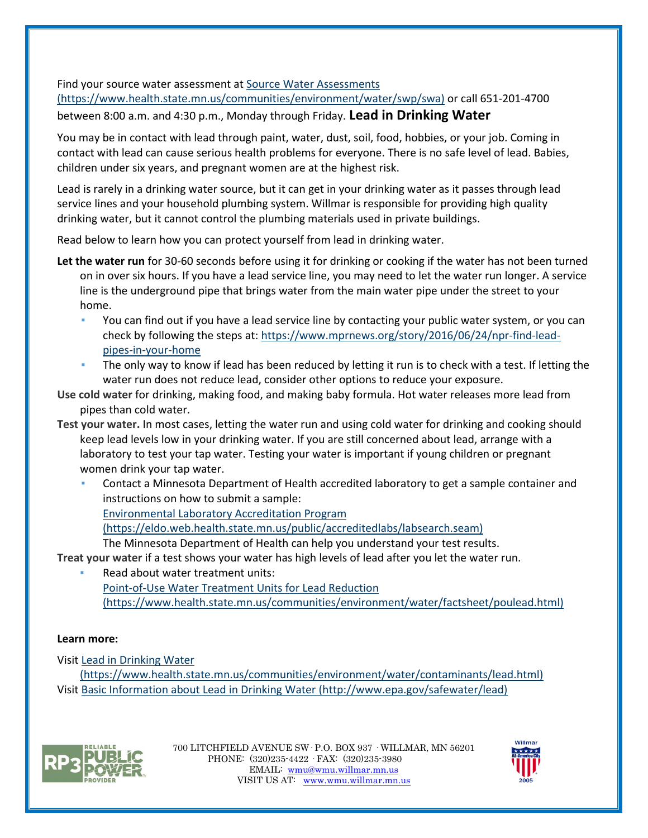Find your source water assessment at [Source Water Assessments](https://www.health.state.mn.us/communities/environment/water/swp/swa)  [\(https://www.health.state.mn.us/communities/environment/water/swp/swa\)](https://www.health.state.mn.us/communities/environment/water/swp/swa) or call 651-201-4700

#### between 8:00 a.m. and 4:30 p.m., Monday through Friday. **Lead in Drinking Water**

You may be in contact with lead through paint, water, dust, soil, food, hobbies, or your job. Coming in contact with lead can cause serious health problems for everyone. There is no safe level of lead. Babies, children under six years, and pregnant women are at the highest risk.

Lead is rarely in a drinking water source, but it can get in your drinking water as it passes through lead service lines and your household plumbing system. Willmar is responsible for providing high quality drinking water, but it cannot control the plumbing materials used in private buildings.

Read below to learn how you can protect yourself from lead in drinking water.

- **Let the water run** for 30-60 seconds before using it for drinking or cooking if the water has not been turned on in over six hours. If you have a lead service line, you may need to let the water run longer. A service line is the underground pipe that brings water from the main water pipe under the street to your home.
	- You can find out if you have a lead service line by contacting your public water system, or you can check by following the steps at[: https://www.mprnews.org/story/2016/06/24/npr-find-lead](https://www.mprnews.org/story/2016/06/24/npr-find-lead-pipes-in-your-home)[pipes-in-your-home](https://www.mprnews.org/story/2016/06/24/npr-find-lead-pipes-in-your-home)
	- **•** The only way to know if lead has been reduced by letting it run is to check with a test. If letting the water run does not reduce lead, consider other options to reduce your exposure.
- **Use cold water** for drinking, making food, and making baby formula. Hot water releases more lead from pipes than cold water.
- **Test your water.** In most cases, letting the water run and using cold water for drinking and cooking should keep lead levels low in your drinking water. If you are still concerned about lead, arrange with a laboratory to test your tap water. Testing your water is important if young children or pregnant women drink your tap water.
	- Contact a Minnesota Department of Health accredited laboratory to get a sample container and instructions on how to submit a sample: [Environmental Laboratory Accreditation Program](https://eldo.web.health.state.mn.us/public/accreditedlabs/labsearch.seam)  [\(https://eldo.web.health.state.mn.us/public/accreditedlabs/labsearch.seam\)](https://eldo.web.health.state.mn.us/public/accreditedlabs/labsearch.seam)

The Minnesota Department of Health can help you understand your test results.

**Treat your water** if a test shows your water has high levels of lead after you let the water run.

Read about water treatment units: [Point-of-Use Water Treatment Units for](https://www.health.state.mn.us/communities/environment/water/factsheet/poulead.html) Lead Reduction [\(https://www.health.state.mn.us/communities/environment/water/factsheet/poulead.html\)](https://www.health.state.mn.us/communities/environment/water/factsheet/poulead.html)

#### **Learn more:**

Visit [Lead in Drinking Water](https://www.health.state.mn.us/communities/environment/water/contaminants/lead.html) 

[\(https://www.health.state.mn.us/communities/environment/water/contaminants/lead.html\)](https://www.health.state.mn.us/communities/environment/water/contaminants/lead.html) Visit [Basic Information about Lead in Drinking Water \(http://www.epa.gov/safewater/lead\)](http://www.epa.gov/safewater/lead)